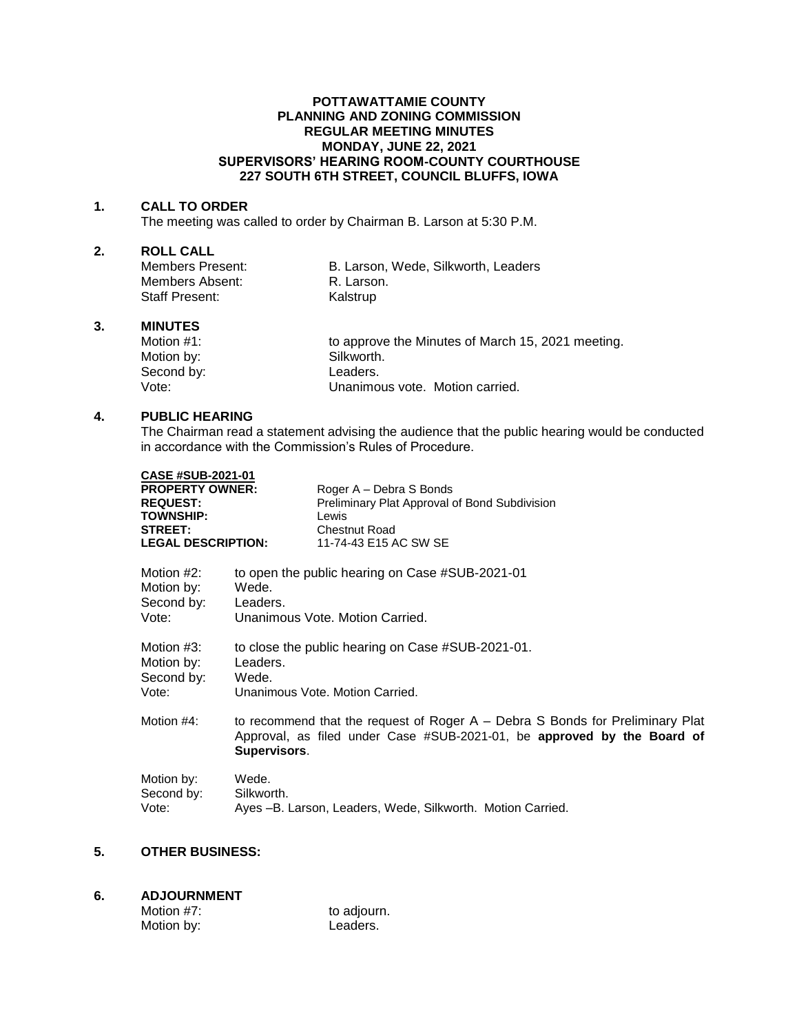## **POTTAWATTAMIE COUNTY PLANNING AND ZONING COMMISSION REGULAR MEETING MINUTES MONDAY, JUNE 22, 2021 SUPERVISORS' HEARING ROOM-COUNTY COURTHOUSE 227 SOUTH 6TH STREET, COUNCIL BLUFFS, IOWA**

#### **1. CALL TO ORDER**

The meeting was called to order by Chairman B. Larson at 5:30 P.M.

# **2. ROLL CALL**

Members Absent: R. Larson. Staff Present: Kalstrup

B. Larson, Wede, Silkworth, Leaders

#### **3. MINUTES**

Motion #1: **to approve the Minutes of March 15, 2021 meeting.** Motion by: Silkworth. Second by: Leaders.<br>Vote: Unanimo Unanimous vote. Motion carried.

# **4. PUBLIC HEARING**

The Chairman read a statement advising the audience that the public hearing would be conducted in accordance with the Commission's Rules of Procedure.

| <b>CASE #SUB-2021-01</b><br><b>PROPERTY OWNER:</b><br><b>REQUEST:</b><br><b>TOWNSHIP:</b><br><b>STREET:</b><br><b>LEGAL DESCRIPTION:</b> | Roger A - Debra S Bonds<br>Preliminary Plat Approval of Bond Subdivision<br>Lewis<br><b>Chestnut Road</b><br>11-74-43 E15 AC SW SE                                         |  |
|------------------------------------------------------------------------------------------------------------------------------------------|----------------------------------------------------------------------------------------------------------------------------------------------------------------------------|--|
| Motion $#2$ :                                                                                                                            | to open the public hearing on Case #SUB-2021-01                                                                                                                            |  |
| Motion by:                                                                                                                               | Wede.                                                                                                                                                                      |  |
| Second by:                                                                                                                               | Leaders.                                                                                                                                                                   |  |
| Vote:                                                                                                                                    | Unanimous Vote, Motion Carried.                                                                                                                                            |  |
| Motion #3:                                                                                                                               | to close the public hearing on Case #SUB-2021-01.                                                                                                                          |  |
| Motion by:                                                                                                                               | Leaders.                                                                                                                                                                   |  |
| Second by:                                                                                                                               | Wede.                                                                                                                                                                      |  |
| Vote:                                                                                                                                    | Unanimous Vote, Motion Carried.                                                                                                                                            |  |
| Motion #4:                                                                                                                               | to recommend that the request of Roger $A -$ Debra S Bonds for Preliminary Plat<br>Approval, as filed under Case #SUB-2021-01, be approved by the Board of<br>Supervisors. |  |
| Motion by:                                                                                                                               | Wede.                                                                                                                                                                      |  |
| Second by:                                                                                                                               | Silkworth.                                                                                                                                                                 |  |
| Vote:                                                                                                                                    | Ayes -B. Larson, Leaders, Wede, Silkworth. Motion Carried.                                                                                                                 |  |

# **5. OTHER BUSINESS:**

# **6. ADJOURNMENT**

| Motion #7: | to adjourn. |
|------------|-------------|
| Motion by: | Leaders.    |